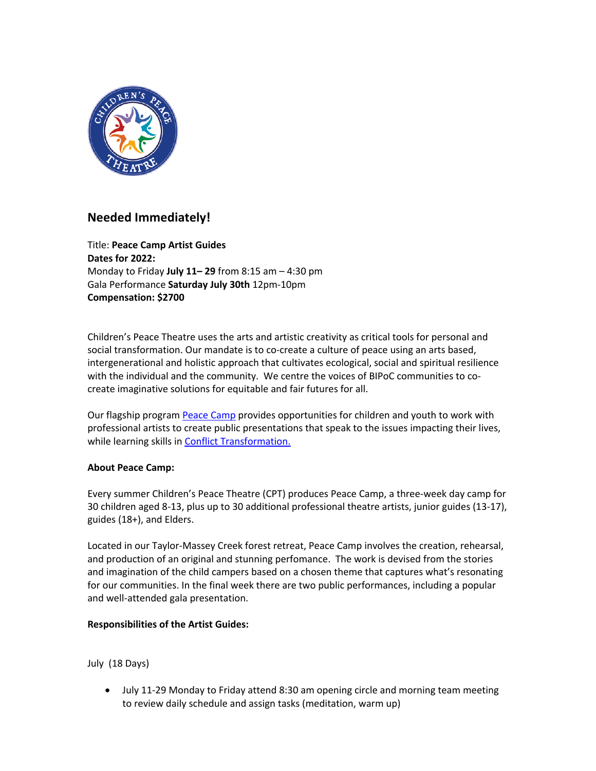

# **Needed Immediately!**

Title: **Peace Camp Artist Guides Dates for 2022:** Monday to Friday **July 11– 29** from 8:15 am – 4:30 pm Gala Performance **Saturday July 30th** 12pm-10pm **Compensation: \$2700**

Children's Peace Theatre uses the arts and artistic creativity as critical tools for personal and social transformation. Our mandate is to co-create a culture of peace using an arts based, intergenerational and holistic approach that cultivates ecological, social and spiritual resilience with the individual and the community. We centre the voices of BIPoC communities to cocreate imaginative solutions for equitable and fair futures for all.

Our flagship program Peace Camp provides opportunities for children and youth to work with professional artists to create public presentations that speak to the issues impacting their lives, while learning skills in **Conflict Transformation.** 

### **About Peace Camp:**

Every summer Children's Peace Theatre (CPT) produces Peace Camp, a three-week day camp for 30 children aged 8-13, plus up to 30 additional professional theatre artists, junior guides (13-17), guides (18+), and Elders.

Located in our Taylor-Massey Creek forest retreat, Peace Camp involves the creation, rehearsal, and production of an original and stunning perfomance. The work is devised from the stories and imagination of the child campers based on a chosen theme that captures what's resonating for our communities. In the final week there are two public performances, including a popular and well-attended gala presentation.

### **Responsibilities of the Artist Guides:**

July (18 Days)

• July 11-29 Monday to Friday attend 8:30 am opening circle and morning team meeting to review daily schedule and assign tasks (meditation, warm up)